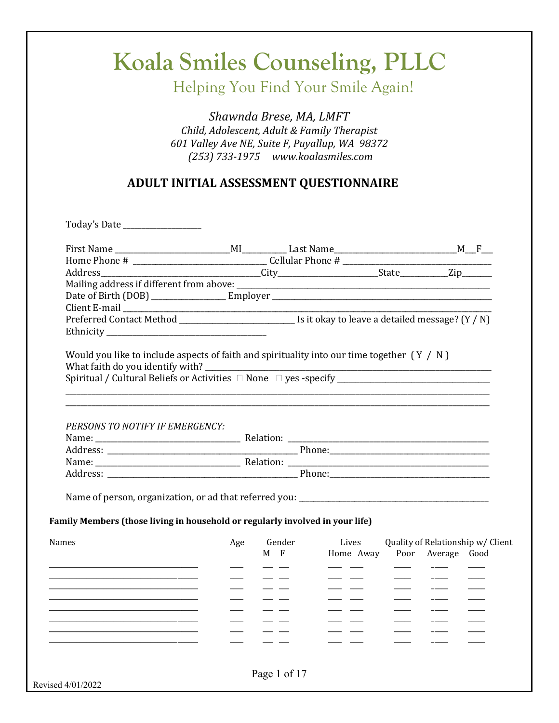Helping You Find Your Smile Again!

Shawnda Brese, MA, LMFT Child, Adolescent, Adult & Family Therapist 601 Valley Ave NE, Suite F, Puyallup, WA 98372 (253) 733-1975 www.koalasmiles.com

#### ADULT INITIAL ASSESSMENT QUESTIONNAIRE

| Would you like to include aspects of faith and spirituality into our time together $(Y / N)$             |     |                                                                                                                                                                                                                                                                                                                                                                                                                                                |                                                                                                                                                                                                                                                                                                                                                                                                                                                                                          |  |                                                                                                                                                                                                                                                                                                                                                                                                                                                                                       |  |
|----------------------------------------------------------------------------------------------------------|-----|------------------------------------------------------------------------------------------------------------------------------------------------------------------------------------------------------------------------------------------------------------------------------------------------------------------------------------------------------------------------------------------------------------------------------------------------|------------------------------------------------------------------------------------------------------------------------------------------------------------------------------------------------------------------------------------------------------------------------------------------------------------------------------------------------------------------------------------------------------------------------------------------------------------------------------------------|--|---------------------------------------------------------------------------------------------------------------------------------------------------------------------------------------------------------------------------------------------------------------------------------------------------------------------------------------------------------------------------------------------------------------------------------------------------------------------------------------|--|
|                                                                                                          |     |                                                                                                                                                                                                                                                                                                                                                                                                                                                |                                                                                                                                                                                                                                                                                                                                                                                                                                                                                          |  |                                                                                                                                                                                                                                                                                                                                                                                                                                                                                       |  |
| Spiritual / Cultural Beliefs or Activities $\Box$ None $\Box$ yes -specify _____________________________ |     |                                                                                                                                                                                                                                                                                                                                                                                                                                                |                                                                                                                                                                                                                                                                                                                                                                                                                                                                                          |  |                                                                                                                                                                                                                                                                                                                                                                                                                                                                                       |  |
|                                                                                                          |     |                                                                                                                                                                                                                                                                                                                                                                                                                                                |                                                                                                                                                                                                                                                                                                                                                                                                                                                                                          |  |                                                                                                                                                                                                                                                                                                                                                                                                                                                                                       |  |
|                                                                                                          |     |                                                                                                                                                                                                                                                                                                                                                                                                                                                |                                                                                                                                                                                                                                                                                                                                                                                                                                                                                          |  |                                                                                                                                                                                                                                                                                                                                                                                                                                                                                       |  |
|                                                                                                          |     |                                                                                                                                                                                                                                                                                                                                                                                                                                                |                                                                                                                                                                                                                                                                                                                                                                                                                                                                                          |  |                                                                                                                                                                                                                                                                                                                                                                                                                                                                                       |  |
| PERSONS TO NOTIFY IF EMERGENCY:                                                                          |     |                                                                                                                                                                                                                                                                                                                                                                                                                                                |                                                                                                                                                                                                                                                                                                                                                                                                                                                                                          |  |                                                                                                                                                                                                                                                                                                                                                                                                                                                                                       |  |
|                                                                                                          |     |                                                                                                                                                                                                                                                                                                                                                                                                                                                |                                                                                                                                                                                                                                                                                                                                                                                                                                                                                          |  |                                                                                                                                                                                                                                                                                                                                                                                                                                                                                       |  |
|                                                                                                          |     |                                                                                                                                                                                                                                                                                                                                                                                                                                                |                                                                                                                                                                                                                                                                                                                                                                                                                                                                                          |  |                                                                                                                                                                                                                                                                                                                                                                                                                                                                                       |  |
|                                                                                                          |     |                                                                                                                                                                                                                                                                                                                                                                                                                                                |                                                                                                                                                                                                                                                                                                                                                                                                                                                                                          |  |                                                                                                                                                                                                                                                                                                                                                                                                                                                                                       |  |
|                                                                                                          |     |                                                                                                                                                                                                                                                                                                                                                                                                                                                |                                                                                                                                                                                                                                                                                                                                                                                                                                                                                          |  |                                                                                                                                                                                                                                                                                                                                                                                                                                                                                       |  |
|                                                                                                          |     |                                                                                                                                                                                                                                                                                                                                                                                                                                                |                                                                                                                                                                                                                                                                                                                                                                                                                                                                                          |  |                                                                                                                                                                                                                                                                                                                                                                                                                                                                                       |  |
|                                                                                                          |     |                                                                                                                                                                                                                                                                                                                                                                                                                                                |                                                                                                                                                                                                                                                                                                                                                                                                                                                                                          |  |                                                                                                                                                                                                                                                                                                                                                                                                                                                                                       |  |
|                                                                                                          |     |                                                                                                                                                                                                                                                                                                                                                                                                                                                |                                                                                                                                                                                                                                                                                                                                                                                                                                                                                          |  |                                                                                                                                                                                                                                                                                                                                                                                                                                                                                       |  |
|                                                                                                          |     |                                                                                                                                                                                                                                                                                                                                                                                                                                                |                                                                                                                                                                                                                                                                                                                                                                                                                                                                                          |  |                                                                                                                                                                                                                                                                                                                                                                                                                                                                                       |  |
| Family Members (those living in household or regularly involved in your life)                            |     |                                                                                                                                                                                                                                                                                                                                                                                                                                                |                                                                                                                                                                                                                                                                                                                                                                                                                                                                                          |  |                                                                                                                                                                                                                                                                                                                                                                                                                                                                                       |  |
| Names                                                                                                    | Age | Gender                                                                                                                                                                                                                                                                                                                                                                                                                                         | Lives                                                                                                                                                                                                                                                                                                                                                                                                                                                                                    |  | Quality of Relationship w/ Client                                                                                                                                                                                                                                                                                                                                                                                                                                                     |  |
|                                                                                                          |     | M F                                                                                                                                                                                                                                                                                                                                                                                                                                            | Home Away                                                                                                                                                                                                                                                                                                                                                                                                                                                                                |  | Poor Average Good                                                                                                                                                                                                                                                                                                                                                                                                                                                                     |  |
|                                                                                                          |     |                                                                                                                                                                                                                                                                                                                                                                                                                                                |                                                                                                                                                                                                                                                                                                                                                                                                                                                                                          |  |                                                                                                                                                                                                                                                                                                                                                                                                                                                                                       |  |
|                                                                                                          |     | $\frac{1}{2} \left( \frac{1}{2} \right)$                                                                                                                                                                                                                                                                                                                                                                                                       | $\frac{1}{2} \left( \frac{1}{2} \right) = \frac{1}{2} \left( \frac{1}{2} \right) = \frac{1}{2} \left( \frac{1}{2} \right) = \frac{1}{2} \left( \frac{1}{2} \right) = \frac{1}{2} \left( \frac{1}{2} \right) = \frac{1}{2} \left( \frac{1}{2} \right) = \frac{1}{2} \left( \frac{1}{2} \right) = \frac{1}{2} \left( \frac{1}{2} \right) = \frac{1}{2} \left( \frac{1}{2} \right) = \frac{1}{2} \left( \frac{1}{2} \right) = \frac{1}{2} \left($                                           |  |                                                                                                                                                                                                                                                                                                                                                                                                                                                                                       |  |
|                                                                                                          |     | $\frac{1}{2} \left( \frac{1}{2} \right) = \frac{1}{2} \left( \frac{1}{2} \right) = \frac{1}{2} \left( \frac{1}{2} \right) = \frac{1}{2} \left( \frac{1}{2} \right) = \frac{1}{2} \left( \frac{1}{2} \right) = \frac{1}{2} \left( \frac{1}{2} \right) = \frac{1}{2} \left( \frac{1}{2} \right) = \frac{1}{2} \left( \frac{1}{2} \right) = \frac{1}{2} \left( \frac{1}{2} \right) = \frac{1}{2} \left( \frac{1}{2} \right) = \frac{1}{2} \left($ | $\begin{tabular}{ll} \multicolumn{1}{l}{} & \multicolumn{1}{l}{} & \multicolumn{1}{l}{} \\ \multicolumn{1}{l}{} & \multicolumn{1}{l}{} & \multicolumn{1}{l}{} \\ \multicolumn{1}{l}{} & \multicolumn{1}{l}{} & \multicolumn{1}{l}{} \\ \multicolumn{1}{l}{} & \multicolumn{1}{l}{} & \multicolumn{1}{l}{} \\ \multicolumn{1}{l}{} & \multicolumn{1}{l}{} & \multicolumn{1}{l}{} \\ \multicolumn{1}{l}{} & \multicolumn{1}{l}{} & \multicolumn{1}{l}{} \\ \multicolumn{1}{l}{} & \multic$ |  | $\begin{tabular}{lllllllllll} \toprule & & & \multicolumn{2}{c}{1} & & \multicolumn{2}{c}{\multicolumn{2}{c}{\multicolumn{2}{c}{\multicolumn{2}{c}{\multicolumn{2}{c}{\multicolumn{2}{c}{\multicolumn{2}{c}{\multicolumn{2}{c}{\multicolumn{2}{c}{\multicolumn{2}{c}{\multicolumn{2}{c}{\textbf{1}}}}}}}}\quad & \multicolumn{2}{c}{ \begin{tabular}{l} \multicolumn{2}{c}{\multicolumn{2}{c}{\multicolumn{2}{c}{\textbf{1}} & \multicolumn{2}{c}{\textbf{1}} & \multicolumn{2}{c}{\$ |  |
|                                                                                                          |     | $\overline{\phantom{a}}$                                                                                                                                                                                                                                                                                                                                                                                                                       | $\overline{\phantom{a}}$ and $\overline{\phantom{a}}$                                                                                                                                                                                                                                                                                                                                                                                                                                    |  |                                                                                                                                                                                                                                                                                                                                                                                                                                                                                       |  |
| the control of the control of the control of the control of the control of the control of                |     | $\frac{1}{2} \left( \frac{1}{2} \right)$                                                                                                                                                                                                                                                                                                                                                                                                       | $\overline{\phantom{a}}$                                                                                                                                                                                                                                                                                                                                                                                                                                                                 |  |                                                                                                                                                                                                                                                                                                                                                                                                                                                                                       |  |
|                                                                                                          |     |                                                                                                                                                                                                                                                                                                                                                                                                                                                |                                                                                                                                                                                                                                                                                                                                                                                                                                                                                          |  |                                                                                                                                                                                                                                                                                                                                                                                                                                                                                       |  |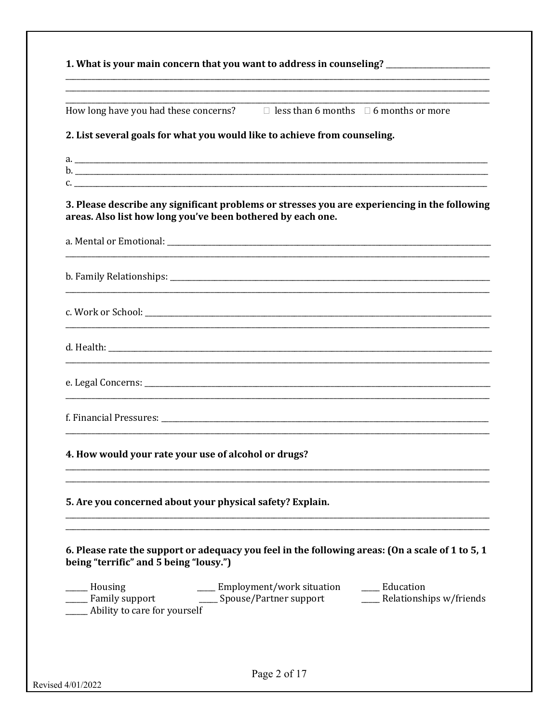|                       | How long have you had these concerns? $\Box$ less than 6 months $\Box$ 6 months or more                                                    |
|-----------------------|--------------------------------------------------------------------------------------------------------------------------------------------|
|                       | 2. List several goals for what you would like to achieve from counseling.                                                                  |
|                       |                                                                                                                                            |
|                       |                                                                                                                                            |
|                       | 3. Please describe any significant problems or stresses you are experiencing in the following                                              |
|                       | areas. Also list how long you've been bothered by each one.                                                                                |
|                       |                                                                                                                                            |
|                       |                                                                                                                                            |
|                       |                                                                                                                                            |
|                       |                                                                                                                                            |
|                       |                                                                                                                                            |
|                       |                                                                                                                                            |
|                       |                                                                                                                                            |
|                       |                                                                                                                                            |
|                       |                                                                                                                                            |
|                       | 4. How would your rate your use of alcohol or drugs?                                                                                       |
|                       |                                                                                                                                            |
|                       | 5. Are you concerned about your physical safety? Explain.                                                                                  |
|                       |                                                                                                                                            |
|                       | 6. Please rate the support or adequacy you feel in the following areas: (On a scale of 1 to 5, 1<br>being "terrific" and 5 being "lousy.") |
| <sub>__</sub> Housing | ____ Employment/work situation _____ Education                                                                                             |
|                       | ___ Relationships w/friends<br>Ability to care for yourself                                                                                |
|                       |                                                                                                                                            |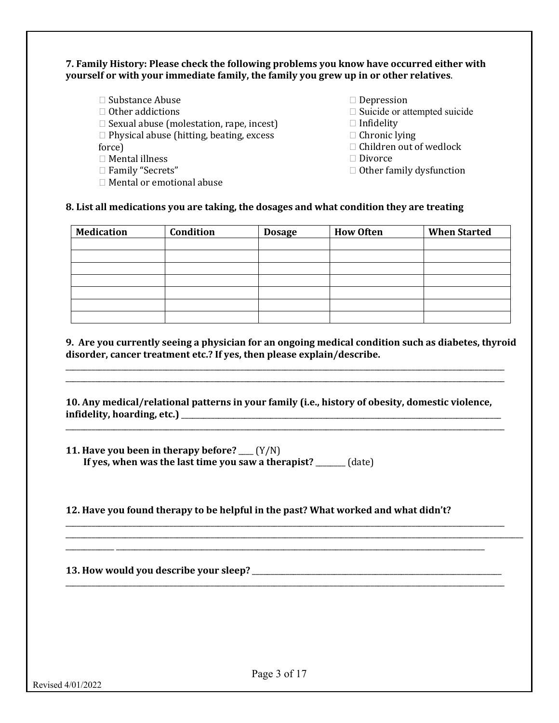7. Family History: Please check the following problems you know have occurred either with yourself or with your immediate family, the family you grew up in or other relatives.

- $\Box$  Substance Abuse
- $\Box$  Other addictions
- $\Box$  Sexual abuse (molestation, rape, incest)
- $\Box$  Physical abuse (hitting, beating, excess
- force)
- $\Box$  Mental illness
- □ Family "Secrets"
- $\Box$  Mental or emotional abuse
- □ Depression
- $\square$  Suicide or attempted suicide
- $\Box$  Infidelity
- $\Box$  Chronic lying
- $\square$  Children out of wedlock
- $\Box$  Divorce
- $\Box$  Other family dysfunction

#### **8.** List all medications you are taking, the dosages and what condition they are treating

| <b>Medication</b> | Condition | <b>Dosage</b> | <b>How Often</b> | <b>When Started</b> |
|-------------------|-----------|---------------|------------------|---------------------|
|                   |           |               |                  |                     |
|                   |           |               |                  |                     |
|                   |           |               |                  |                     |
|                   |           |               |                  |                     |
|                   |           |               |                  |                     |
|                   |           |               |                  |                     |
|                   |           |               |                  |                     |

**9.** Are you currently seeing a physician for an ongoing medical condition such as diabetes, thyroid disorder, cancer treatment etc.? If yes, then please explain/describe.

\_\_\_\_\_\_\_\_\_\_\_\_\_\_\_\_\_\_\_\_\_\_\_\_\_\_\_\_\_\_\_\_\_\_\_\_\_\_\_\_\_\_\_\_\_\_\_\_\_\_\_\_\_\_\_\_\_\_\_\_\_\_\_\_\_\_\_\_\_\_\_\_\_\_\_\_\_\_\_\_\_\_\_\_\_\_\_\_\_\_\_\_\_\_\_\_\_\_\_\_\_\_\_\_\_\_\_\_\_\_\_\_\_\_\_\_\_\_ \_\_\_\_\_\_\_\_\_\_\_\_\_\_\_\_\_\_\_\_\_\_\_\_\_\_\_\_\_\_\_\_\_\_\_\_\_\_\_\_\_\_\_\_\_\_\_\_\_\_\_\_\_\_\_\_\_\_\_\_\_\_\_\_\_\_\_\_\_\_\_\_\_\_\_\_\_\_\_\_\_\_\_\_\_\_\_\_\_\_\_\_\_\_\_\_\_\_\_\_\_\_\_\_\_\_\_\_\_\_\_\_\_\_\_\_\_\_

**10.** Any medical/relational patterns in your family (i.e., history of obesity, domestic violence, **infidelity, hoarding, etc.)** \_\_\_\_\_\_\_\_\_\_\_\_\_\_\_\_\_\_\_\_\_\_\_\_\_\_\_\_\_\_\_\_\_\_\_\_\_\_\_\_\_\_\_\_\_\_\_\_\_\_\_\_\_\_\_\_\_\_\_\_\_\_\_\_\_\_\_\_\_\_\_\_\_\_\_\_\_\_\_\_\_\_\_\_\_\_

\_\_\_\_\_\_\_\_\_\_\_\_\_\_\_\_\_\_\_\_\_\_\_\_\_\_\_\_\_\_\_\_\_\_\_\_\_\_\_\_\_\_\_\_\_\_\_\_\_\_\_\_\_\_\_\_\_\_\_\_\_\_\_\_\_\_\_\_\_\_\_\_\_\_\_\_\_\_\_\_\_\_\_\_\_\_\_\_\_\_\_\_\_\_\_\_\_\_\_\_\_\_\_\_\_\_\_\_\_\_\_\_\_\_\_\_\_\_

\_\_\_\_\_\_\_\_\_\_\_\_\_\_\_\_\_\_\_\_\_\_\_\_\_\_\_\_\_\_\_\_\_\_\_\_\_\_\_\_\_\_\_\_\_\_\_\_\_\_\_\_\_\_\_\_\_\_\_\_\_\_\_\_\_\_\_\_\_\_\_\_\_\_\_\_\_\_\_\_\_\_\_\_\_\_\_\_\_\_\_\_\_\_\_\_\_\_\_\_\_\_\_\_\_\_\_\_\_\_\_\_\_\_\_\_\_\_ \_\_\_\_\_\_\_\_\_\_\_\_\_\_\_\_\_\_\_\_\_\_\_\_\_\_\_\_\_\_\_\_\_\_\_\_\_\_\_\_\_\_\_\_\_\_\_\_\_\_\_\_\_\_\_\_\_\_\_\_\_\_\_\_\_\_\_\_\_\_\_\_\_\_\_\_\_\_\_\_\_\_\_\_\_\_\_\_\_\_\_\_\_\_\_\_\_\_\_\_\_\_\_\_\_\_\_\_\_\_\_\_\_\_\_\_\_\_\_\_\_\_\_

\_\_\_\_\_\_\_\_\_\_\_\_\_ \_\_\_\_\_\_\_\_\_\_\_\_\_\_\_\_\_\_\_\_\_\_\_\_\_\_\_\_\_\_\_\_\_\_\_\_\_\_\_\_\_\_\_\_\_\_\_\_\_\_\_\_\_\_\_\_\_\_\_\_\_\_\_\_\_\_\_\_\_\_\_\_\_\_\_\_\_\_\_\_\_\_\_\_\_\_\_\_\_\_\_\_\_\_\_\_\_\_\_ 

**11.** Have you been in therapy before?  $(Y/N)$ **If yes, when was the last time you saw a therapist?** \_\_\_\_\_\_\_ (date)

**12.** Have you found therapy to be helpful in the past? What worked and what didn't?

**13. How would you describe your sleep?**  $\blacksquare$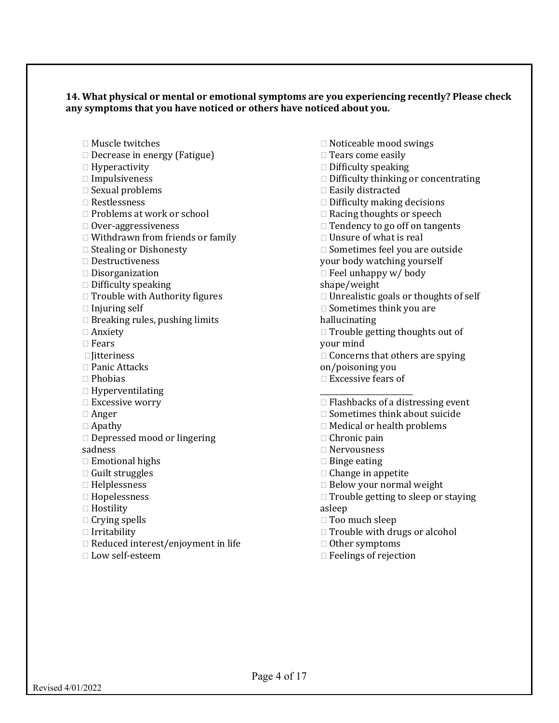#### **14.** What physical or mental or emotional symptoms are you experiencing recently? Please check any symptoms that you have noticed or others have noticed about you.

- $\Box$  Muscle twitches
- $\Box$  Decrease in energy (Fatigue)
- $\Box$  Hyperactivity
- $\Box$  Impulsiveness
- $\square$  Sexual problems
- Restlessness
- $\Box$  Problems at work or school
- □ Over-aggressiveness
- $\Box$  Withdrawn from friends or family
- $\Box$  Stealing or Dishonesty
- □ Destructiveness
- Disorganization
- $\Box$  Difficulty speaking
- $\Box$  Trouble with Authority figures
- $\Box$  Injuring self
- $\Box$  Breaking rules, pushing limits
- Anxiety
- $\Box$  Fears
- $\Box$ Iitteriness
- □ Panic Attacks
- $\Box$  Phobias
- $\Box$  Hyperventilating
- $\Box$  Excessive worry
- Anger
- Apathy
- $\Box$  Depressed mood or lingering
- sadness
- $\Box$  Emotional highs
- $\Box$  Guilt struggles
- □ Helplessness
- Hopelessness
- □ Hostility
- $\Box$  Crying spells
- □ Irritability
- $\Box$  Reduced interest/enjoyment in life
- $\Box$  Low self-esteem
- $\Box$  Noticeable mood swings  $\Box$  Tears come easily  $\Box$  Difficulty speaking  $\Box$  Difficulty thinking or concentrating  $\Box$  Easily distracted  $\Box$  Difficulty making decisions  $\Box$  Racing thoughts or speech  $\Box$  Tendency to go off on tangents  $\Box$  Unsure of what is real  $\square$  Sometimes feel you are outside your body watching yourself  $\Box$  Feel unhappy w/ body shape/weight  $\Box$  Unrealistic goals or thoughts of self  $\square$  Sometimes think you are hallucinating  $\Box$  Trouble getting thoughts out of your mind  $\Box$  Concerns that others are spying on/poisoning you  $\Box$  Excessive fears of
- $\Box$  Flashbacks of a distressing event
- $\Box$  Sometimes think about suicide
- $\Box$  Medical or health problems
- $\Box$  Chronic pain
- Nervousness
- $\Box$  Binge eating
- $\Box$  Change in appetite

\_\_\_\_\_\_\_\_\_\_\_\_\_\_\_\_\_\_\_\_\_\_\_\_\_ 

- $\Box$  Below your normal weight
- $\Box$  Trouble getting to sleep or staying asleep
- □ Too much sleep
- $\Box$  Trouble with drugs or alcohol
- $\Box$  Other symptoms
- $\Box$  Feelings of rejection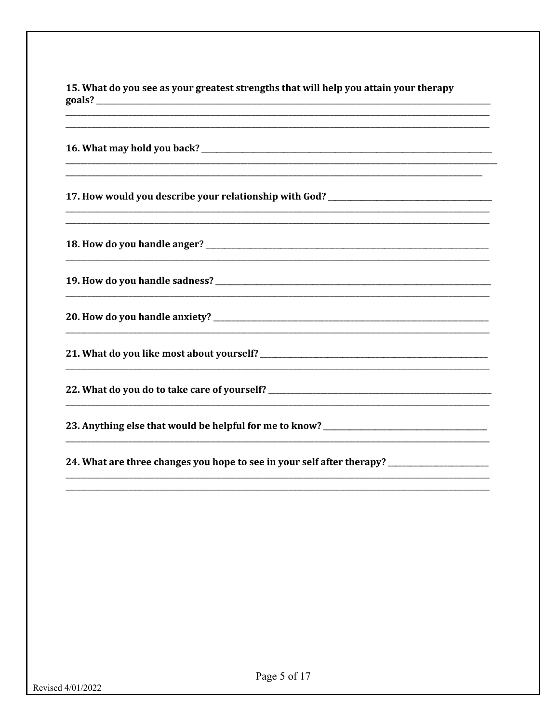15. What do you see as your greatest strengths that will help you attain your therapy 

17. How would you describe your relationship with God? \_\_\_\_\_\_\_\_\_\_\_\_\_\_\_\_\_\_\_\_\_\_\_\_\_

22. What do you do to take care of yourself? \_\_\_\_\_\_\_\_\_\_\_\_\_\_\_\_\_\_\_\_\_\_\_\_\_\_\_\_\_\_\_\_\_\_\_

23. Anything else that would be helpful for me to know? \_\_\_\_\_\_\_\_\_\_\_\_\_\_\_\_\_\_\_\_\_\_\_\_

24. What are three changes you hope to see in your self after therapy? \_\_\_\_\_\_\_\_\_\_\_\_\_\_\_\_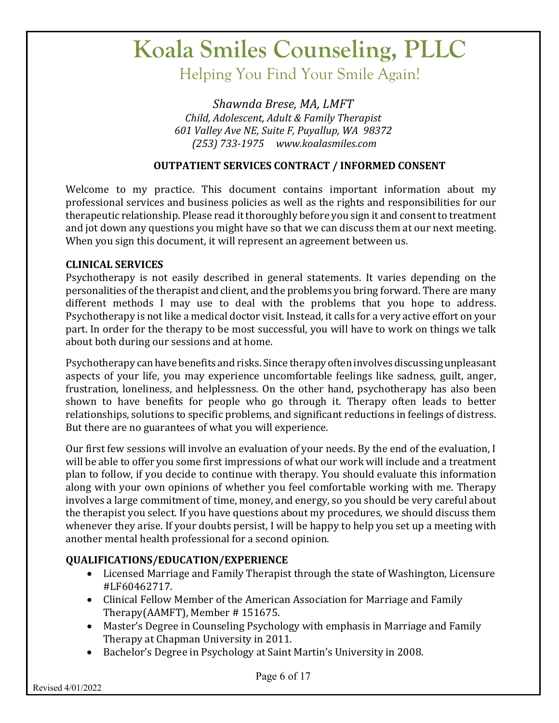Helping You Find Your Smile Again!

*Shawnda Brese, MA, LMFT Child, Adolescent, Adult & Family Therapist 601 Valley Ave NE, Suite F, Puyallup, WA 98372 (253) 733-1975 www.koalasmiles.com*

#### **OUTPATIENT SERVICES CONTRACT / INFORMED CONSENT**

Welcome to my practice. This document contains important information about my professional services and business policies as well as the rights and responsibilities for our therapeutic relationship. Please read itthoroughly before you sign it and consentto treatment and jot down any questions you might have so that we can discuss them at our next meeting. When you sign this document, it will represent an agreement between us.

#### **CLINICAL SERVICES**

Psychotherapy is not easily described in general statements. It varies depending on the personalities of the therapist and client, and the problems you bring forward. There are many different methods I may use to deal with the problems that you hope to address. Psychotherapy is not like a medical doctor visit. Instead, it calls for a very active effort on your part. In order for the therapy to be most successful, you will have to work on things we talk about both during our sessions and at home.

Psychotherapy can have benefits and risks. Since therapy often involves discussing unpleasant aspects of your life, you may experience uncomfortable feelings like sadness, guilt, anger, frustration, loneliness, and helplessness. On the other hand, psychotherapy has also been shown to have benefits for people who go through it. Therapy often leads to better relationships, solutions to specific problems, and significant reductions in feelings of distress. But there are no guarantees of what you will experience. 

Our first few sessions will involve an evaluation of your needs. By the end of the evaluation, I will be able to offer you some first impressions of what our work will include and a treatment plan to follow, if you decide to continue with therapy. You should evaluate this information along with your own opinions of whether you feel comfortable working with me. Therapy involves a large commitment of time, money, and energy, so you should be very careful about the therapist you select. If you have questions about my procedures, we should discuss them whenever they arise. If your doubts persist, I will be happy to help you set up a meeting with another mental health professional for a second opinion.

#### **QUALIFICATIONS/EDUCATION/EXPERIENCE**

- Licensed Marriage and Family Therapist through the state of Washington, Licensure #LF60462717.
- Clinical Fellow Member of the American Association for Marriage and Family Therapy(AAMFT), Member #151675.
- Master's Degree in Counseling Psychology with emphasis in Marriage and Family Therapy at Chapman University in 2011.
- Bachelor's Degree in Psychology at Saint Martin's University in 2008.

Page 6 of 17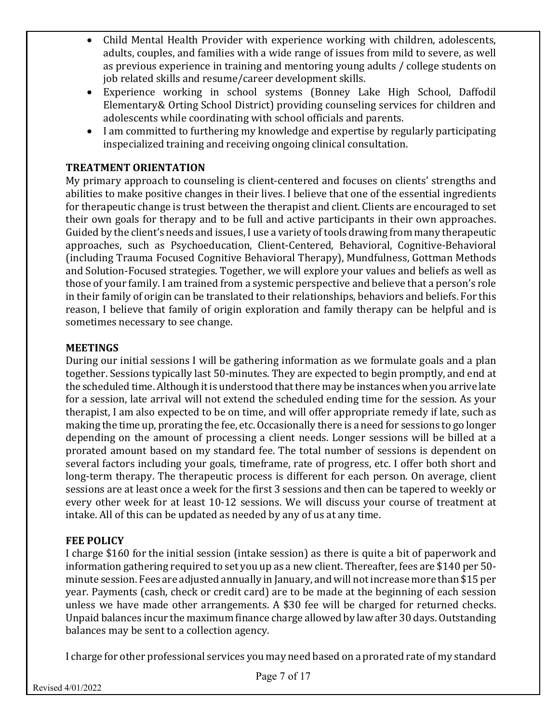- Child Mental Health Provider with experience working with children, adolescents, adults, couples, and families with a wide range of issues from mild to severe, as well as previous experience in training and mentoring young adults / college students on job related skills and resume/career development skills.
- Experience working in school systems (Bonney Lake High School, Daffodil Elementary& Orting School District) providing counseling services for children and adolescents while coordinating with school officials and parents.
- I am committed to furthering my knowledge and expertise by regularly participating inspecialized training and receiving ongoing clinical consultation.

#### **TREATMENT ORIENTATION**

My primary approach to counseling is client-centered and focuses on clients' strengths and abilities to make positive changes in their lives. I believe that one of the essential ingredients for therapeutic change is trust between the therapist and client. Clients are encouraged to set their own goals for therapy and to be full and active participants in their own approaches. Guided by the client's needs and issues, I use a variety of tools drawing from many therapeutic approaches, such as Psychoeducation, Client-Centered, Behavioral, Cognitive-Behavioral (including Trauma Focused Cognitive Behavioral Therapy), Mundfulness, Gottman Methods and Solution-Focused strategies. Together, we will explore your values and beliefs as well as those of your family. I am trained from a systemic perspective and believe that a person's role in their family of origin can be translated to their relationships, behaviors and beliefs. For this reason, I believe that family of origin exploration and family therapy can be helpful and is sometimes necessary to see change.

#### **MEETINGS**

During our initial sessions I will be gathering information as we formulate goals and a plan together. Sessions typically last 50-minutes. They are expected to begin promptly, and end at the scheduled time. Although it is understood that there may be instances when you arrive late for a session, late arrival will not extend the scheduled ending time for the session. As your therapist, I am also expected to be on time, and will offer appropriate remedy if late, such as making the time up, prorating the fee, etc. Occasionally there is a need for sessions to go longer depending on the amount of processing a client needs. Longer sessions will be billed at a prorated amount based on my standard fee. The total number of sessions is dependent on several factors including your goals, timeframe, rate of progress, etc. I offer both short and long-term therapy. The therapeutic process is different for each person. On average, client sessions are at least once a week for the first 3 sessions and then can be tapered to weekly or every other week for at least 10-12 sessions. We will discuss your course of treatment at intake. All of this can be updated as needed by any of us at any time.

#### **FEE POLICY**

I charge \$160 for the initial session (intake session) as there is quite a bit of paperwork and information gathering required to set you up as a new client. Thereafter, fees are \$140 per 50 minute session. Fees are adjusted annually in January, and will notincrease more than \$15 per year. Payments (cash, check or credit card) are to be made at the beginning of each session unless we have made other arrangements. A \$30 fee will be charged for returned checks. Unpaid balances incur the maximum finance charge allowed by law after 30 days. Outstanding balances may be sent to a collection agency.

I charge for other professional services you may need based on a prorated rate of my standard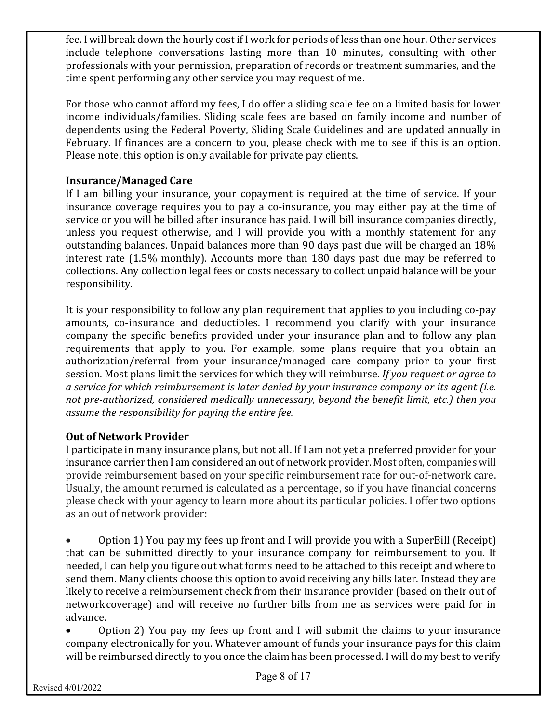fee. I will break down the hourly cost if I work for periods of less than one hour. Other services include telephone conversations lasting more than 10 minutes, consulting with other professionals with your permission, preparation of records or treatment summaries, and the time spent performing any other service you may request of me.

For those who cannot afford my fees, I do offer a sliding scale fee on a limited basis for lower income individuals/families. Sliding scale fees are based on family income and number of dependents using the Federal Poverty, Sliding Scale Guidelines and are updated annually in February. If finances are a concern to you, please check with me to see if this is an option. Please note, this option is only available for private pay clients.

#### **Insurance/Managed Care**

If I am billing your insurance, your copayment is required at the time of service. If your insurance coverage requires you to pay a co-insurance, you may either pay at the time of service or you will be billed after insurance has paid. I will bill insurance companies directly, unless you request otherwise, and I will provide you with a monthly statement for any outstanding balances. Unpaid balances more than 90 days past due will be charged an 18% interest rate (1.5% monthly). Accounts more than 180 days past due may be referred to collections. Any collection legal fees or costs necessary to collect unpaid balance will be your responsibility.

It is your responsibility to follow any plan requirement that applies to you including co-pay amounts, co-insurance and deductibles. I recommend you clarify with your insurance company the specific benefits provided under your insurance plan and to follow any plan requirements that apply to you. For example, some plans require that you obtain an authorization/referral from your insurance/managed care company prior to your first session. Most plans limit the services for which they will reimburse. If you request or agree to *a* service for which reimbursement is later denied by your insurance company or its agent (i.e. not pre-authorized, considered medically unnecessary, beyond the benefit limit, etc.) then you *assume the responsibility for paying the entire fee.*

#### **Out of Network Provider**

I participate in many insurance plans, but not all. If I am not yet a preferred provider for your insurance carrier then I am considered an out of network provider. Most often, companies will provide reimbursement based on your specific reimbursement rate for out-of-network care. Usually, the amount returned is calculated as a percentage, so if you have financial concerns please check with your agency to learn more about its particular policies. I offer two options as an out of network provider:

Option 1) You pay my fees up front and I will provide you with a SuperBill (Receipt) that can be submitted directly to your insurance company for reimbursement to you. If needed, I can help you figure out what forms need to be attached to this receipt and where to send them. Many clients choose this option to avoid receiving any bills later. Instead they are likely to receive a reimbursement check from their insurance provider (based on their out of networkcoverage) and will receive no further bills from me as services were paid for in advance.

Option 2) You pay my fees up front and I will submit the claims to your insurance company electronically for you. Whatever amount of funds your insurance pays for this claim will be reimbursed directly to you once the claim has been processed. I will do my best to verify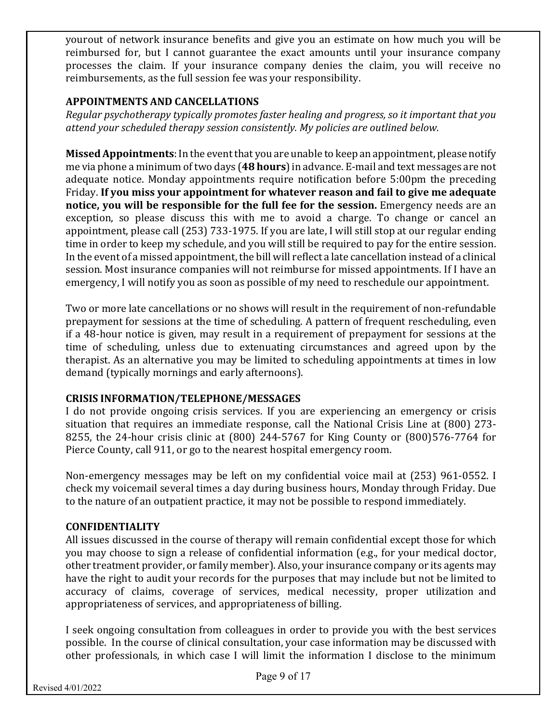yourout of network insurance benefits and give you an estimate on how much you will be reimbursed for, but I cannot guarantee the exact amounts until your insurance company processes the claim. If your insurance company denies the claim, you will receive no reimbursements, as the full session fee was your responsibility.

#### **APPOINTMENTS AND CANCELLATIONS**

*Regular psychotherapy typically promotes faster healing and progress, so it important that you attend your scheduled therapy session consistently. My policies are outlined below.*

**Missed Appointments**: In the event that you are unable to keep an appointment, please notify me via phone a minimum oftwo days (**48 hours**)in advance. E-mail and text messages are not adequate notice. Monday appointments require notification before 5:00pm the preceding Friday. If you miss your appointment for whatever reason and fail to give me adequate **notice, you will be responsible for the full fee for the session.** Emergency needs are an exception, so please discuss this with me to avoid a charge. To change or cancel an appointment, please call (253) 733-1975. If you are late, I will still stop at our regular ending time in order to keep my schedule, and you will still be required to pay for the entire session. In the event of a missed appointment, the bill will reflect a late cancellation instead of a clinical session. Most insurance companies will not reimburse for missed appointments. If I have an emergency, I will notify you as soon as possible of my need to reschedule our appointment.

Two or more late cancellations or no shows will result in the requirement of non-refundable prepayment for sessions at the time of scheduling. A pattern of frequent rescheduling, even if a 48-hour notice is given, may result in a requirement of prepayment for sessions at the time of scheduling, unless due to extenuating circumstances and agreed upon by the therapist. As an alternative you may be limited to scheduling appointments at times in low demand (typically mornings and early afternoons).

#### **CRISIS INFORMATION/TELEPHONE/MESSAGES**

I do not provide ongoing crisis services. If you are experiencing an emergency or crisis situation that requires an immediate response, call the National Crisis Line at (800) 273-8255, the 24-hour crisis clinic at  $(800)$  244-5767 for King County or  $(800)$ 576-7764 for Pierce County, call 911, or go to the nearest hospital emergency room.

Non-emergency messages may be left on my confidential voice mail at (253) 961-0552. I check my voicemail several times a day during business hours, Monday through Friday. Due to the nature of an outpatient practice, it may not be possible to respond immediately.

#### **CONFIDENTIALITY**

All issues discussed in the course of therapy will remain confidential except those for which you may choose to sign a release of confidential information (e.g., for your medical doctor, other treatment provider, or family member). Also, your insurance company or its agents may have the right to audit your records for the purposes that may include but not be limited to accuracy of claims, coverage of services, medical necessity, proper utilization and appropriateness of services, and appropriateness of billing.

I seek ongoing consultation from colleagues in order to provide you with the best services possible. In the course of clinical consultation, your case information may be discussed with other professionals, in which case I will limit the information I disclose to the minimum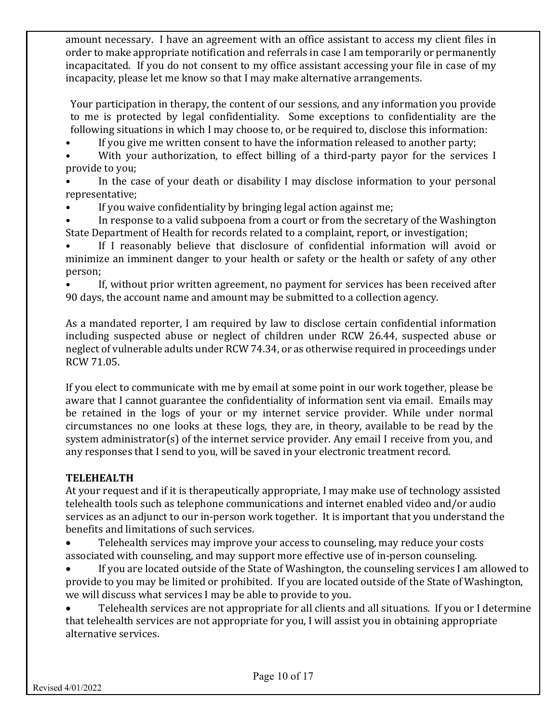amount necessary. I have an agreement with an office assistant to access my client files in order to make appropriate notification and referrals in case I am temporarily or permanently incapacitated. If you do not consent to my office assistant accessing your file in case of my incapacity, please let me know so that I may make alternative arrangements.

Your participation in therapy, the content of our sessions, and any information you provide to me is protected by legal confidentiality. Some exceptions to confidentiality are the following situations in which I may choose to, or be required to, disclose this information:

If you give me written consent to have the information released to another party;

With your authorization, to effect billing of a third-party payor for the services I provide to you;

In the case of your death or disability I may disclose information to your personal representative;

If you waive confidentiality by bringing legal action against me;

In response to a valid subpoena from a court or from the secretary of the Washington State Department of Health for records related to a complaint, report, or investigation;

If I reasonably believe that disclosure of confidential information will avoid or minimize an imminent danger to your health or safety or the health or safety of any other person;

If, without prior written agreement, no payment for services has been received after 90 days, the account name and amount may be submitted to a collection agency.

As a mandated reporter, I am required by law to disclose certain confidential information including suspected abuse or neglect of children under RCW 26.44, suspected abuse or neglect of vulnerable adults under RCW 74.34, or as otherwise required in proceedings under RCW 71.05.

If you elect to communicate with me by email at some point in our work together, please be aware that I cannot guarantee the confidentiality of information sent via email. Emails may be retained in the logs of your or my internet service provider. While under normal circumstances no one looks at these logs, they are, in theory, available to be read by the system administrator(s) of the internet service provider. Any email I receive from you, and any responses that I send to you, will be saved in your electronic treatment record.

#### **TELEHEALTH**

At your request and if it is therapeutically appropriate, I may make use of technology assisted telehealth tools such as telephone communications and internet enabled video and/or audio services as an adjunct to our in-person work together. It is important that you understand the benefits and limitations of such services.

- Telehealth services may improve your access to counseling, may reduce your costs associated with counseling, and may support more effective use of in-person counseling.
- If you are located outside of the State of Washington, the counseling services I am allowed to provide to you may be limited or prohibited. If you are located outside of the State of Washington, we will discuss what services I may be able to provide to you.

Telehealth services are not appropriate for all clients and all situations. If you or I determine that telehealth services are not appropriate for you, I will assist you in obtaining appropriate alternative services.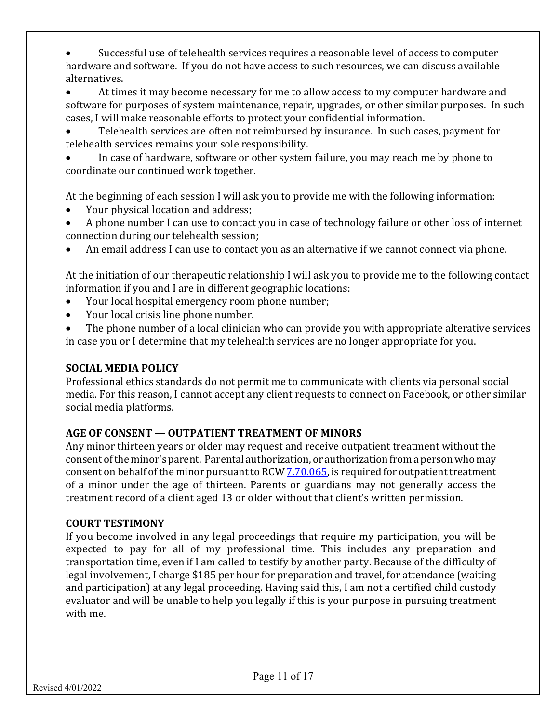Successful use of telehealth services requires a reasonable level of access to computer hardware and software. If you do not have access to such resources, we can discuss available alternatives.

At times it may become necessary for me to allow access to my computer hardware and software for purposes of system maintenance, repair, upgrades, or other similar purposes. In such cases, I will make reasonable efforts to protect your confidential information.

Telehealth services are often not reimbursed by insurance. In such cases, payment for telehealth services remains your sole responsibility.

In case of hardware, software or other system failure, you may reach me by phone to coordinate our continued work together.

At the beginning of each session I will ask you to provide me with the following information:

- Your physical location and address;
- A phone number I can use to contact you in case of technology failure or other loss of internet connection during our telehealth session;
- An email address I can use to contact you as an alternative if we cannot connect via phone.

At the initiation of our therapeutic relationship I will ask you to provide me to the following contact information if you and I are in different geographic locations:

- Your local hospital emergency room phone number;
- Your local crisis line phone number.

The phone number of a local clinician who can provide you with appropriate alterative services in case you or I determine that my telehealth services are no longer appropriate for you.

#### **SOCIAL MEDIA POLICY**

Professional ethics standards do not permit me to communicate with clients via personal social media. For this reason, I cannot accept any client requests to connect on Facebook, or other similar social media platforms.

#### **AGE OF CONSENT — OUTPATIENT TREATMENT OF MINORS**

Any minor thirteen years or older may request and receive outpatient treatment without the consent of the minor's parent. Parental authorization, or authorization from a person who may consent on behalf of the minor pursuant to RCW  $7.70.065$ , is required for outpatient treatment of a minor under the age of thirteen. Parents or guardians may not generally access the treatment record of a client aged 13 or older without that client's written permission.

#### **COURT TESTIMONY**

If you become involved in any legal proceedings that require my participation, you will be expected to pay for all of my professional time. This includes any preparation and transportation time, even if I am called to testify by another party. Because of the difficulty of legal involvement, I charge \$185 per hour for preparation and travel, for attendance (waiting and participation) at any legal proceeding. Having said this, I am not a certified child custody evaluator and will be unable to help you legally if this is your purpose in pursuing treatment with me.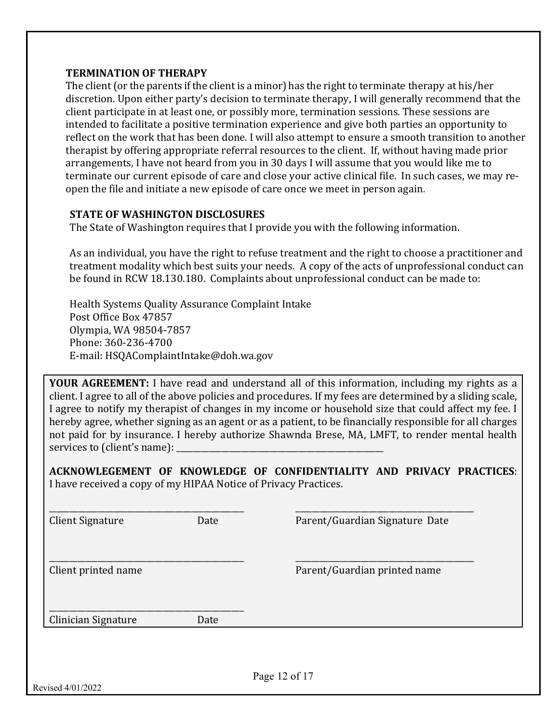#### **TERMINATION OF THERAPY**

The client (or the parents if the client is a minor) has the right to terminate therapy at his/her discretion. Upon either party's decision to terminate therapy, I will generally recommend that the client participate in at least one, or possibly more, termination sessions. These sessions are intended to facilitate a positive termination experience and give both parties an opportunity to reflect on the work that has been done. I will also attempt to ensure a smooth transition to another therapist by offering appropriate referral resources to the client. If, without having made prior arrangements, I have not heard from you in 30 days I will assume that you would like me to terminate our current episode of care and close your active clinical file. In such cases, we may reopen the file and initiate a new episode of care once we meet in person again.

#### **STATE OF WASHINGTON DISCLOSURES**

The State of Washington requires that I provide you with the following information.

As an individual, you have the right to refuse treatment and the right to choose a practitioner and treatment modality which best suits your needs. A copy of the acts of unprofessional conduct can be found in RCW 18.130.180. Complaints about unprofessional conduct can be made to:

Health Systems Quality Assurance Complaint Intake Post Office Box 47857 Olympia, WA 98504-7857 Phone: 360-236-4700 E-mail: HSQAComplaintIntake@doh.wa.gov

**YOUR AGREEMENT:** I have read and understand all of this information, including my rights as a client. I agree to all of the above policies and procedures. If my fees are determined by a sliding scale, I agree to notify my therapist of changes in my income or household size that could affect my fee. I hereby agree, whether signing as an agent or as a patient, to be financially responsible for all charges not paid for by insurance. I hereby authorize Shawnda Brese, MA, LMFT, to render mental health services to (client's name):

**ACKNOWLEGEMENT OF KNOWLEDGE OF CONFIDENTIALITY AND PRIVACY PRACTICES**: I have received a copy of my HIPAA Notice of Privacy Practices.

| Client Signature    | Date | Parent/Guardian Signature Date |
|---------------------|------|--------------------------------|
| Client printed name |      | Parent/Guardian printed name   |
| Clinician Signature | Date |                                |
|                     |      | Page 12 of 17                  |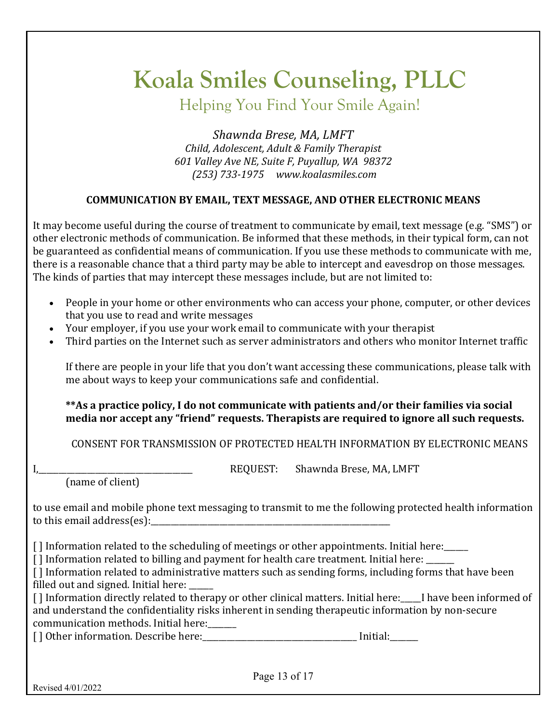Helping You Find Your Smile Again!

*Shawnda Brese, MA, LMFT Child, Adolescent, Adult & Family Therapist 601 Valley Ave NE, Suite F, Puyallup, WA 98372 (253) 733-1975 www.koalasmiles.com*

#### **COMMUNICATION BY EMAIL, TEXT MESSAGE, AND OTHER ELECTRONIC MEANS**

It may become useful during the course of treatment to communicate by email, text message (e.g. "SMS") or other electronic methods of communication. Be informed that these methods, in their typical form, can not be guaranteed as confidential means of communication. If you use these methods to communicate with me, there is a reasonable chance that a third party may be able to intercept and eavesdrop on those messages. The kinds of parties that may intercept these messages include, but are not limited to:

- People in your home or other environments who can access your phone, computer, or other devices that you use to read and write messages
- Your employer, if you use your work email to communicate with your therapist
- Third parties on the Internet such as server administrators and others who monitor Internet traffic

If there are people in your life that you don't want accessing these communications, please talk with me about ways to keep your communications safe and confidential.

\*\*As a practice policy, I do not communicate with patients and/or their families via social media nor accept any "friend" requests. Therapists are required to ignore all such requests.

CONSENT FOR TRANSMISSION OF PROTECTED HEALTH INFORMATION BY ELECTRONIC MEANS

I,\_\_\_\_\_\_\_\_\_\_\_\_\_\_\_\_\_\_\_\_\_\_\_\_\_\_\_\_\_\_\_\_\_\_\_\_\_\_ REQUEST: Shawnda Brese, MA, LMFT

(name of client)

to use email and mobile phone text messaging to transmit to me the following protected health information to this email address(es):  $\blacksquare$ 

[] Information related to the scheduling of meetings or other appointments. Initial here:\_\_\_\_\_

 $\lceil$  Information related to billing and payment for health care treatment. Initial here:

[] Information related to administrative matters such as sending forms, including forms that have been filled out and signed. Initial here:

[] Information directly related to therapy or other clinical matters. Initial here: \_\_\_\_I have been informed of and understand the confidentiality risks inherent in sending therapeutic information by non-secure communication methods. Initial here:

[ ] Other information. Describe here:\_\_\_\_\_\_\_\_\_\_\_\_\_\_\_\_\_\_\_\_\_\_\_\_\_\_\_\_\_\_\_\_\_\_\_\_\_\_ Initial:\_\_\_\_\_\_\_

Page 13 of 17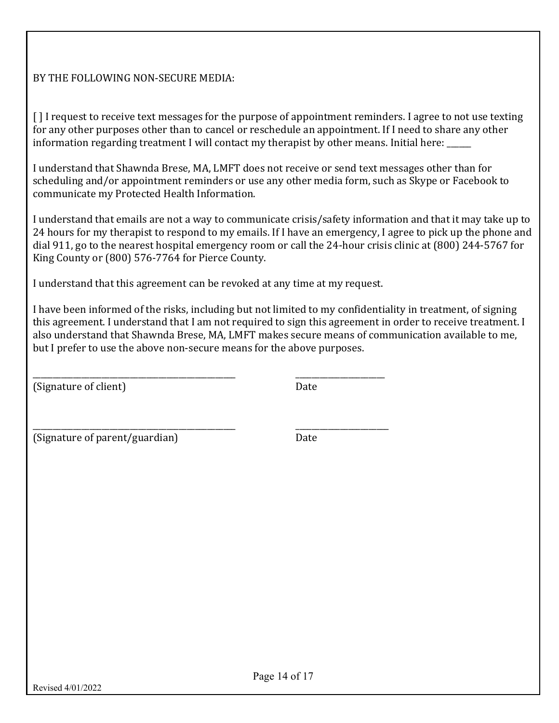#### BY THE FOLLOWING NON-SECURE MEDIA:

[] I request to receive text messages for the purpose of appointment reminders. I agree to not use texting for any other purposes other than to cancel or reschedule an appointment. If I need to share any other information regarding treatment I will contact my therapist by other means. Initial here:

I understand that Shawnda Brese, MA, LMFT does not receive or send text messages other than for scheduling and/or appointment reminders or use any other media form, such as Skype or Facebook to communicate my Protected Health Information.

I understand that emails are not a way to communicate crisis/safety information and that it may take up to 24 hours for my therapist to respond to my emails. If I have an emergency, I agree to pick up the phone and dial 911, go to the nearest hospital emergency room or call the 24-hour crisis clinic at (800) 244-5767 for King County or (800) 576-7764 for Pierce County.

I understand that this agreement can be revoked at any time at my request.

\_\_\_\_\_\_\_\_\_\_\_\_\_\_\_\_\_\_\_\_\_\_\_\_\_\_\_\_\_\_\_\_\_\_\_\_\_\_\_\_\_\_\_\_\_\_\_\_\_\_ \_\_\_\_\_\_\_\_\_\_\_\_\_\_\_\_\_\_\_\_\_\_

\_\_\_\_\_\_\_\_\_\_\_\_\_\_\_\_\_\_\_\_\_\_\_\_\_\_\_\_\_\_\_\_\_\_\_\_\_\_\_\_\_\_\_\_\_\_\_\_\_\_ \_\_\_\_\_\_\_\_\_\_\_\_\_\_\_\_\_\_\_\_\_\_\_

I have been informed of the risks, including but not limited to my confidentiality in treatment, of signing this agreement. I understand that I am not required to sign this agreement in order to receive treatment. I also understand that Shawnda Brese, MA, LMFT makes secure means of communication available to me, but I prefer to use the above non-secure means for the above purposes.

(Signature of client) Date

(Signature of parent/guardian) Date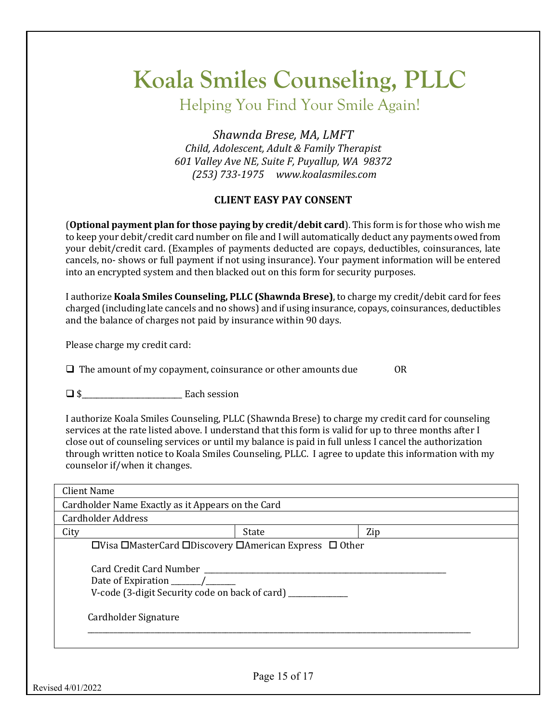Helping You Find Your Smile Again!

*Shawnda Brese, MA, LMFT Child, Adolescent, Adult & Family Therapist 601 Valley Ave NE, Suite F, Puyallup, WA 98372 (253) 733-1975 www.koalasmiles.com*

#### **CLIENT EASY PAY CONSENT**

**(Optional payment plan for those paying by credit/debit card)**. This form is for those who wish me to keep your debit/credit card number on file and I will automatically deduct any payments owed from your debit/credit card. (Examples of payments deducted are copays, deductibles, coinsurances, late cancels, no- shows or full payment if not using insurance). Your payment information will be entered into an encrypted system and then blacked out on this form for security purposes.

I authorize **Koala Smiles Counseling, PLLC (Shawnda Brese)**, to charge my credit/debit card for fees charged (including late cancels and no shows) and if using insurance, copays, coinsurances, deductibles and the balance of charges not paid by insurance within 90 days.

Please charge my credit card:

 $\Box$  The amount of my copayment, coinsurance or other amounts due  $OR$ 

 $\Box$  \$ Each session

I authorize Koala Smiles Counseling, PLLC (Shawnda Brese) to charge my credit card for counseling services at the rate listed above. I understand that this form is valid for up to three months after I close out of counseling services or until my balance is paid in full unless I cancel the authorization through written notice to Koala Smiles Counseling, PLLC. I agree to update this information with my counselor if/when it changes.

| <b>Client Name</b>                                                                                         |  |  |  |  |  |
|------------------------------------------------------------------------------------------------------------|--|--|--|--|--|
| Cardholder Name Exactly as it Appears on the Card                                                          |  |  |  |  |  |
| <b>Cardholder Address</b>                                                                                  |  |  |  |  |  |
| Zip                                                                                                        |  |  |  |  |  |
| $\Box$ Visa $\Box$ MasterCard $\Box$ Discovery $\Box$ American Express $\Box$ Other                        |  |  |  |  |  |
| Card Credit Card Number<br>V-code (3-digit Security code on back of card) ________<br>Cardholder Signature |  |  |  |  |  |
| Page 15 of 17                                                                                              |  |  |  |  |  |
|                                                                                                            |  |  |  |  |  |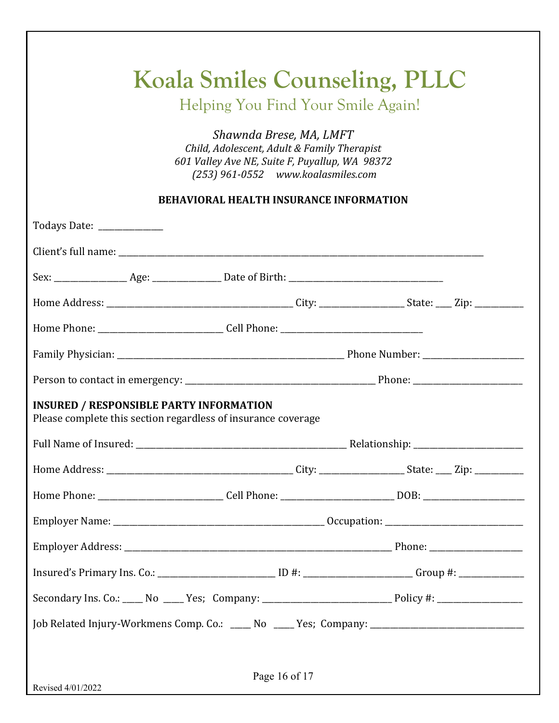|                                                                                                                      |                                                                                                                                                                | Helping You Find Your Smile Again! |
|----------------------------------------------------------------------------------------------------------------------|----------------------------------------------------------------------------------------------------------------------------------------------------------------|------------------------------------|
|                                                                                                                      | Shawnda Brese, MA, LMFT<br>Child, Adolescent, Adult & Family Therapist<br>601 Valley Ave NE, Suite F, Puyallup, WA 98372<br>(253) 961-0552 www.koalasmiles.com |                                    |
|                                                                                                                      | <b>BEHAVIORAL HEALTH INSURANCE INFORMATION</b>                                                                                                                 |                                    |
| Todays Date: _____________                                                                                           |                                                                                                                                                                |                                    |
|                                                                                                                      |                                                                                                                                                                |                                    |
|                                                                                                                      |                                                                                                                                                                |                                    |
|                                                                                                                      |                                                                                                                                                                |                                    |
|                                                                                                                      |                                                                                                                                                                |                                    |
|                                                                                                                      |                                                                                                                                                                |                                    |
|                                                                                                                      |                                                                                                                                                                |                                    |
| <b>INSURED / RESPONSIBLE PARTY INFORMATION</b><br>Please complete this section regardless of insurance coverage      |                                                                                                                                                                |                                    |
|                                                                                                                      |                                                                                                                                                                |                                    |
|                                                                                                                      |                                                                                                                                                                |                                    |
|                                                                                                                      |                                                                                                                                                                |                                    |
| Home Phone: __________________________________Cell Phone: _______________________________DOB: ______________________ |                                                                                                                                                                |                                    |
|                                                                                                                      |                                                                                                                                                                |                                    |
|                                                                                                                      |                                                                                                                                                                |                                    |
|                                                                                                                      |                                                                                                                                                                |                                    |
| Secondary Ins. Co.: _____ No _____ Yes; Company: ________________________________Policy #: ___________________       |                                                                                                                                                                |                                    |